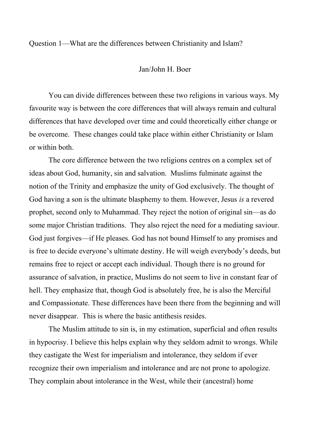Question 1—What are the differences between Christianity and Islam?

## Jan/John H. Boer

You can divide differences between these two religions in various ways. My favourite way is between the core differences that will always remain and cultural differences that have developed over time and could theoretically either change or be overcome. These changes could take place within either Christianity or Islam or within both.

The core difference between the two religions centres on a complex set of ideas about God, humanity, sin and salvation. Muslims fulminate against the notion of the Trinity and emphasize the unity of God exclusively. The thought of God having a son is the ultimate blasphemy to them. However, Jesus *is* a revered prophet, second only to Muhammad. They reject the notion of original sin—as do some major Christian traditions. They also reject the need for a mediating saviour. God just forgives—if He pleases. God has not bound Himself to any promises and is free to decide everyone's ultimate destiny. He will weigh everybody's deeds, but remains free to reject or accept each individual. Though there is no ground for assurance of salvation, in practice, Muslims do not seem to live in constant fear of hell. They emphasize that, though God is absolutely free, he is also the Merciful and Compassionate. These differences have been there from the beginning and will never disappear. This is where the basic antithesis resides.

The Muslim attitude to sin is, in my estimation, superficial and often results in hypocrisy. I believe this helps explain why they seldom admit to wrongs. While they castigate the West for imperialism and intolerance, they seldom if ever recognize their own imperialism and intolerance and are not prone to apologize. They complain about intolerance in the West, while their (ancestral) home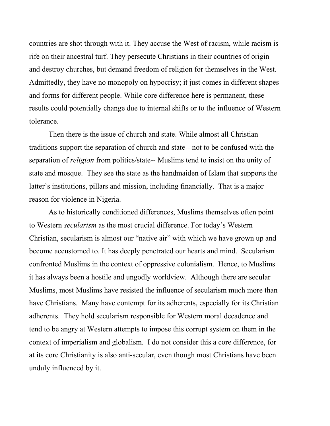countries are shot through with it. They accuse the West of racism, while racism is rife on their ancestral turf. They persecute Christians in their countries of origin and destroy churches, but demand freedom of religion for themselves in the West. Admittedly, they have no monopoly on hypocrisy; it just comes in different shapes and forms for different people. While core difference here is permanent, these results could potentially change due to internal shifts or to the influence of Western tolerance.

Then there is the issue of church and state. While almost all Christian traditions support the separation of church and state-- not to be confused with the separation of *religion* from politics/state-- Muslims tend to insist on the unity of state and mosque. They see the state as the handmaiden of Islam that supports the latter's institutions, pillars and mission, including financially. That is a major reason for violence in Nigeria.

As to historically conditioned differences, Muslims themselves often point to Western *secularism* as the most crucial difference. For today's Western Christian, secularism is almost our "native air" with which we have grown up and become accustomed to. It has deeply penetrated our hearts and mind. Secularism confronted Muslims in the context of oppressive colonialism. Hence, to Muslims it has always been a hostile and ungodly worldview. Although there are secular Muslims, most Muslims have resisted the influence of secularism much more than have Christians. Many have contempt for its adherents, especially for its Christian adherents. They hold secularism responsible for Western moral decadence and tend to be angry at Western attempts to impose this corrupt system on them in the context of imperialism and globalism. I do not consider this a core difference, for at its core Christianity is also anti-secular, even though most Christians have been unduly influenced by it.